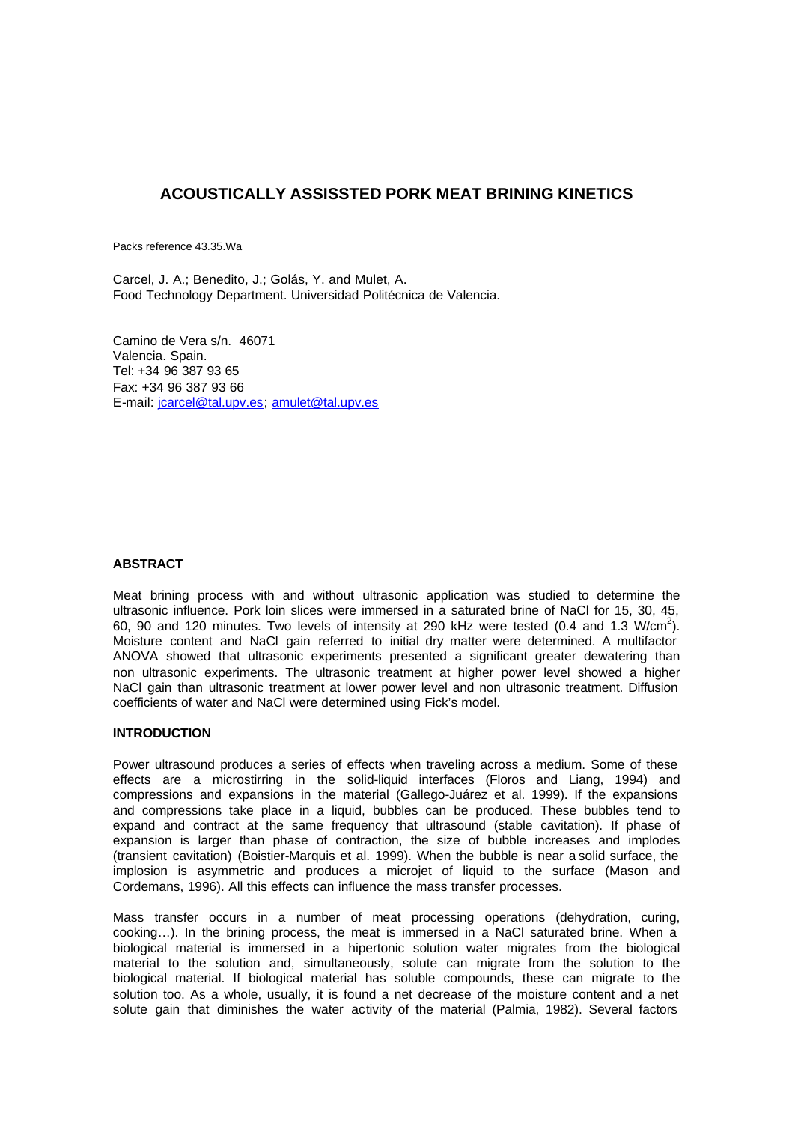# **ACOUSTICALLY ASSISSTED PORK MEAT BRINING KINETICS**

Packs reference 43.35.Wa

Carcel, J. A.; Benedito, J.; Golás, Y. and Mulet, A. Food Technology Department. Universidad Politécnica de Valencia.

Camino de Vera s/n. 46071 Valencia. Spain. Tel: +34 96 387 93 65 Fax: +34 96 387 93 66 E-mail: jcarcel@tal.upv.es; amulet@tal.upv.es

# **ABSTRACT**

Meat brining process with and without ultrasonic application was studied to determine the ultrasonic influence. Pork loin slices were immersed in a saturated brine of NaCl for 15, 30, 45, 60, 90 and 120 minutes. Two levels of intensity at 290 kHz were tested (0.4 and 1.3 W/cm<sup>2</sup>). Moisture content and NaCl gain referred to initial dry matter were determined. A multifactor ANOVA showed that ultrasonic experiments presented a significant greater dewatering than non ultrasonic experiments. The ultrasonic treatment at higher power level showed a higher NaCl gain than ultrasonic treatment at lower power level and non ultrasonic treatment. Diffusion coefficients of water and NaCl were determined using Fick's model.

#### **INTRODUCTION**

Power ultrasound produces a series of effects when traveling across a medium. Some of these effects are a microstirring in the solid-liquid interfaces (Floros and Liang, 1994) and compressions and expansions in the material (Gallego-Juárez et al. 1999). If the expansions and compressions take place in a liquid, bubbles can be produced. These bubbles tend to expand and contract at the same frequency that ultrasound (stable cavitation). If phase of expansion is larger than phase of contraction, the size of bubble increases and implodes (transient cavitation) (Boistier-Marquis et al. 1999). When the bubble is near a solid surface, the implosion is asymmetric and produces a microjet of liquid to the surface (Mason and Cordemans, 1996). All this effects can influence the mass transfer processes.

Mass transfer occurs in a number of meat processing operations (dehydration, curing, cooking…). In the brining process, the meat is immersed in a NaCl saturated brine. When a biological material is immersed in a hipertonic solution water migrates from the biological material to the solution and, simultaneously, solute can migrate from the solution to the biological material. If biological material has soluble compounds, these can migrate to the solution too. As a whole, usually, it is found a net decrease of the moisture content and a net solute gain that diminishes the water activity of the material (Palmia, 1982). Several factors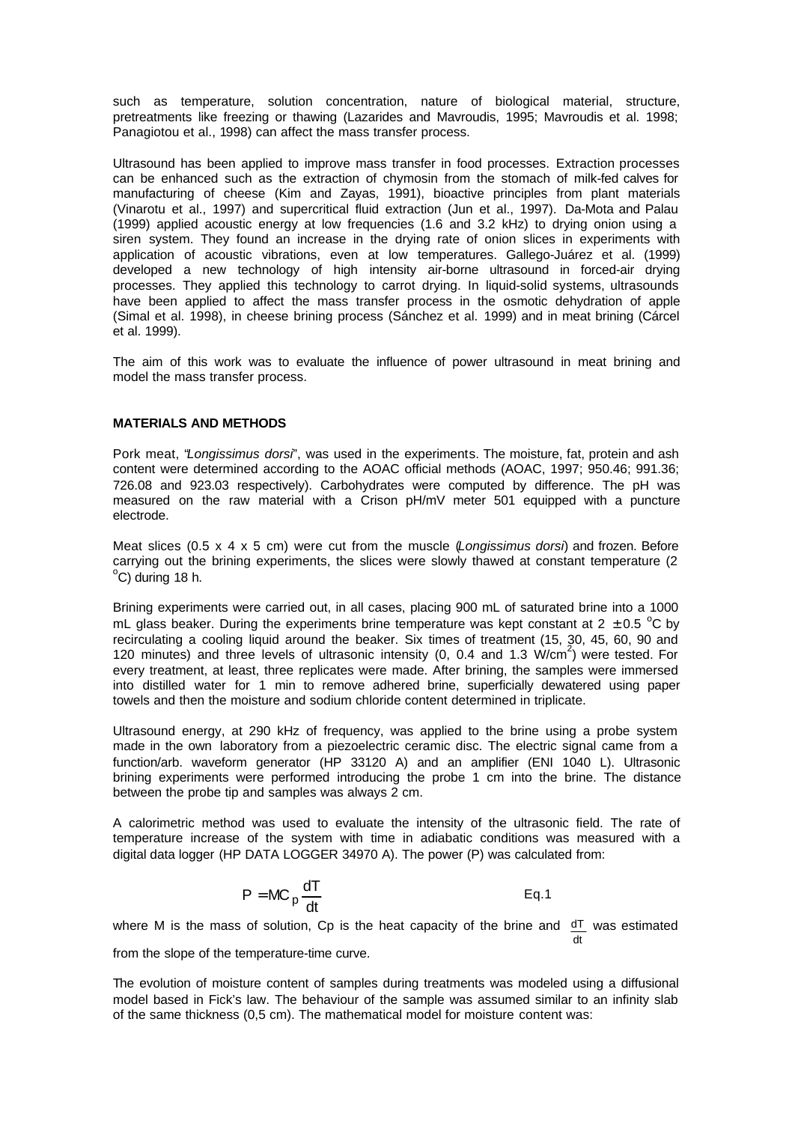such as temperature, solution concentration, nature of biological material, structure, pretreatments like freezing or thawing (Lazarides and Mavroudis, 1995; Mavroudis et al. 1998; Panagiotou et al., 1998) can affect the mass transfer process.

Ultrasound has been applied to improve mass transfer in food processes. Extraction processes can be enhanced such as the extraction of chymosin from the stomach of milk-fed calves for manufacturing of cheese (Kim and Zayas, 1991), bioactive principles from plant materials (Vinarotu et al., 1997) and supercritical fluid extraction (Jun et al., 1997). Da-Mota and Palau (1999) applied acoustic energy at low frequencies (1.6 and 3.2 kHz) to drying onion using a siren system. They found an increase in the drying rate of onion slices in experiments with application of acoustic vibrations, even at low temperatures. Gallego-Juárez et al. (1999) developed a new technology of high intensity air-borne ultrasound in forced-air drying processes. They applied this technology to carrot drying. In liquid-solid systems, ultrasounds have been applied to affect the mass transfer process in the osmotic dehydration of apple (Simal et al. 1998), in cheese brining process (Sánchez et al. 1999) and in meat brining (Cárcel et al. 1999).

The aim of this work was to evaluate the influence of power ultrasound in meat brining and model the mass transfer process.

## **MATERIALS AND METHODS**

Pork meat, "*Longissimus dorsi*", was used in the experiments. The moisture, fat, protein and ash content were determined according to the AOAC official methods (AOAC, 1997; 950.46; 991.36; 726.08 and 923.03 respectively). Carbohydrates were computed by difference. The pH was measured on the raw material with a Crison pH/mV meter 501 equipped with a puncture electrode.

Meat slices (0.5 x 4 x 5 cm) were cut from the muscle (*Longissimus dorsi*) and frozen. Before carrying out the brining experiments, the slices were slowly thawed at constant temperature (2  $^{\circ}$ C) during 18 h.

Brining experiments were carried out, in all cases, placing 900 mL of saturated brine into a 1000 mL glass beaker. During the experiments brine temperature was kept constant at 2  $\pm$  0.5 °C by recirculating a cooling liquid around the beaker. Six times of treatment (15, 30, 45, 60, 90 and 120 minutes) and three levels of ultrasonic intensity (0, 0.4 and 1.3  $W/cm^2$ ) were tested. For every treatment, at least, three replicates were made. After brining, the samples were immersed into distilled water for 1 min to remove adhered brine, superficially dewatered using paper towels and then the moisture and sodium chloride content determined in triplicate.

Ultrasound energy, at 290 kHz of frequency, was applied to the brine using a probe system made in the own laboratory from a piezoelectric ceramic disc. The electric signal came from a function/arb. waveform generator (HP 33120 A) and an amplifier (ENI 1040 L). Ultrasonic brining experiments were performed introducing the probe 1 cm into the brine. The distance between the probe tip and samples was always 2 cm.

A calorimetric method was used to evaluate the intensity of the ultrasonic field. The rate of temperature increase of the system with time in adiabatic conditions was measured with a digital data logger (HP DATA LOGGER 34970 A). The power (P) was calculated from:

$$
P = MC_p \frac{dT}{dt}
$$
 Eq.1

where M is the mass of solution, Cp is the heat capacity of the brine and  $d\overline{I}$  was estimated dt

from the slope of the temperature-time curve.

The evolution of moisture content of samples during treatments was modeled using a diffusional model based in Fick's law. The behaviour of the sample was assumed similar to an infinity slab of the same thickness (0,5 cm). The mathematical model for moisture content was: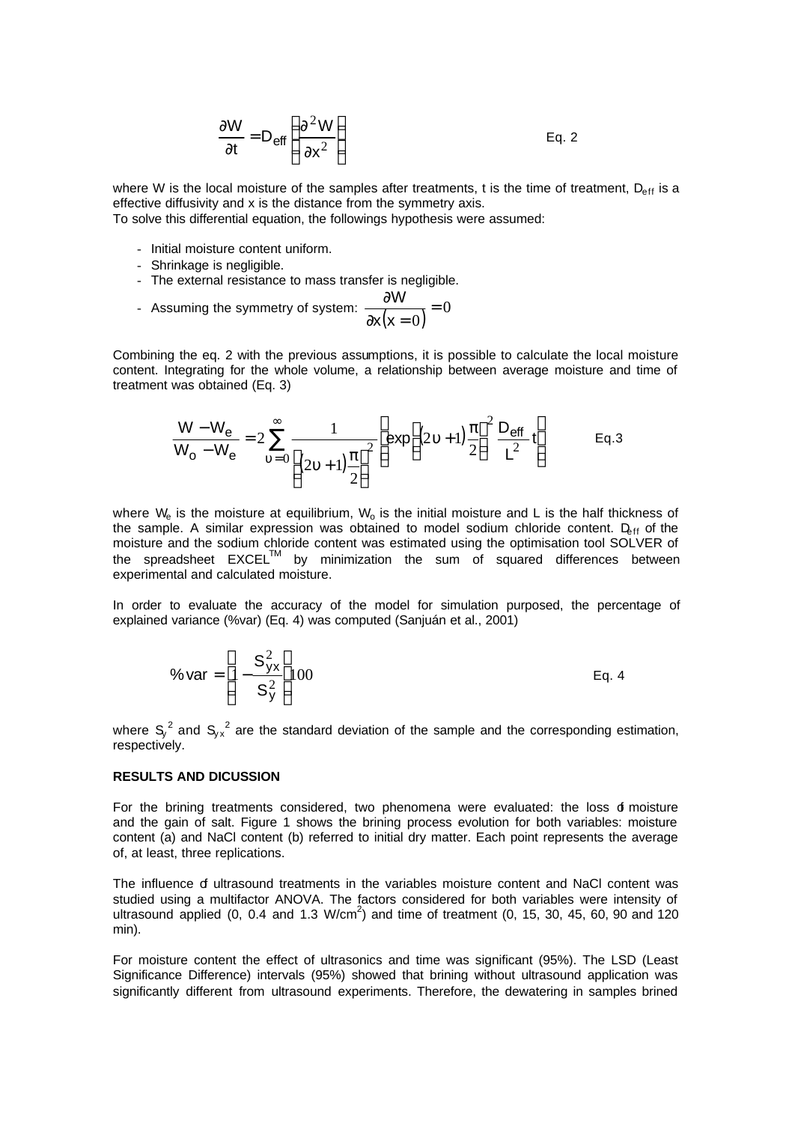$$
\frac{\partial W}{\partial t} = D_{\text{eff}} \left( \frac{\partial^2 W}{\partial x^2} \right)
$$
 Eq. 2

where W is the local moisture of the samples after treatments, t is the time of treatment,  $D_{eff}$  is a effective diffusivity and x is the distance from the symmetry axis.

To solve this differential equation, the followings hypothesis were assumed:

- Initial moisture content uniform.
- Shrinkage is negligible.
- The external resistance to mass transfer is negligible.
- Assuming the symmetry of system:  $\frac{\partial W}{\partial x(x=0)} = 0$ 0 = ∂x(x = ∂ x(x W

Combining the eq. 2 with the previous assumptions, it is possible to calculate the local moisture content. Integrating for the whole volume, a relationship between average moisture and time of treatment was obtained (Eq. 3)

$$
\frac{W - W_{e}}{W_{o} - W_{e}} = 2 \sum_{v=0}^{\infty} \frac{1}{\left[ (2v+1)\frac{\pi}{2} \right]^{2}} \left[ exp \left[ (2v+1)\frac{\pi}{2} \right]^{2} \frac{D_{eff}}{L^{2}} t \right]
$$
 Eq. 3

where  $W_e$  is the moisture at equilibrium,  $W_o$  is the initial moisture and L is the half thickness of the sample. A similar expression was obtained to model sodium chloride content.  $D_{\text{eff}}$  of the moisture and the sodium chloride content was estimated using the optimisation tool SOLVER of the spreadsheet EXCELTM by minimization the sum of squared differences between experimental and calculated moisture.

In order to evaluate the accuracy of the model for simulation purposed, the percentage of explained variance (%var) (Eq. 4) was computed (Sanjuán et al., 2001)

$$
\% \text{var} = \left[ 1 - \frac{S_{yx}^2}{S_y^2} \right] 100 \qquad \qquad \text{Eq. 4}
$$

where  $S_y^2$  and  $S_{yx}^2$  are the standard deviation of the sample and the corresponding estimation, respectively.

#### **RESULTS AND DICUSSION**

For the brining treatments considered, two phenomena were evaluated: the loss of moisture and the gain of salt. Figure 1 shows the brining process evolution for both variables: moisture content (a) and NaCl content (b) referred to initial dry matter. Each point represents the average of, at least, three replications.

The influence of ultrasound treatments in the variables moisture content and NaCl content was studied using a multifactor ANOVA. The factors considered for both variables were intensity of ultrasound applied  $(0, 0.4$  and  $1.3 \text{ W/cm}^2)$  and time of treatment  $(0, 15, 30, 45, 60, 90,$  and  $120$ min).

For moisture content the effect of ultrasonics and time was significant (95%). The LSD (Least Significance Difference) intervals (95%) showed that brining without ultrasound application was significantly different from ultrasound experiments. Therefore, the dewatering in samples brined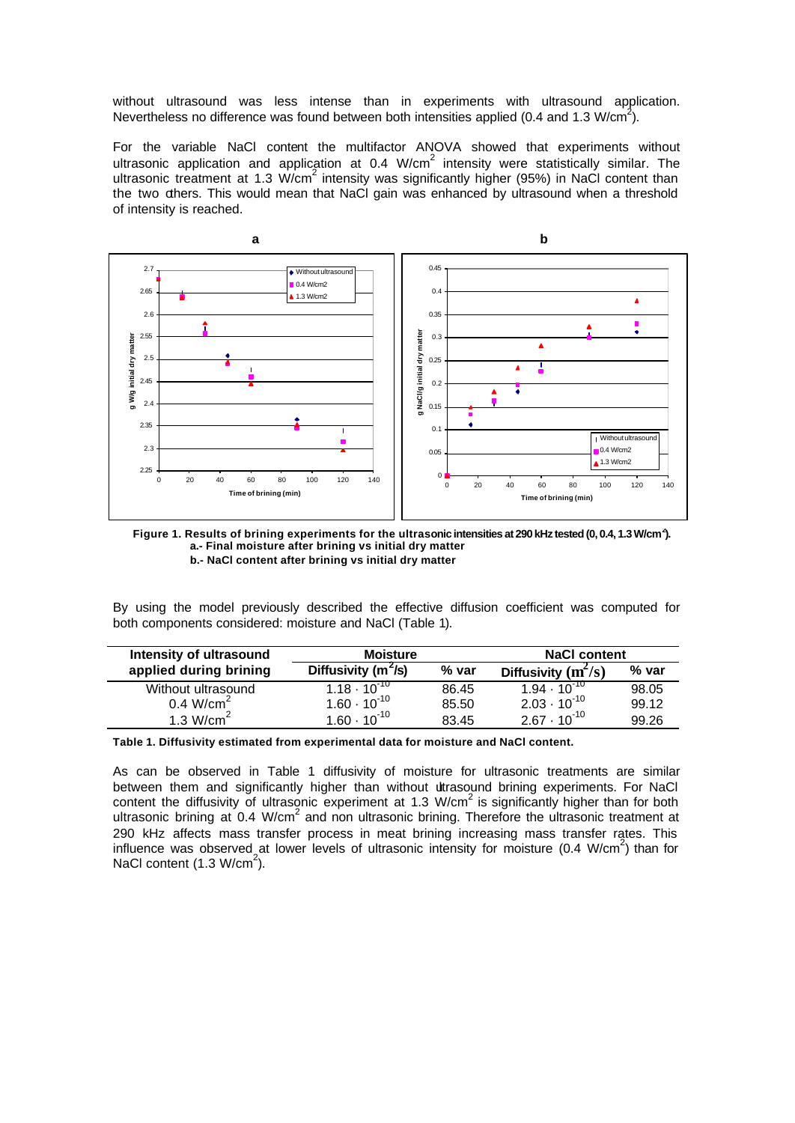without ultrasound was less intense than in experiments with ultrasound application. Nevertheless no difference was found between both intensities applied (0.4 and 1.3 W/cm<sup>2</sup>).

For the variable NaCl content the multifactor ANOVA showed that experiments without ultrasonic application and application at 0.4 W/cm<sup>2</sup> intensity were statistically similar. The ultrasonic treatment at 1.3 W/cm<sup>2</sup> intensity was significantly higher (95%) in NaCl content than the two others. This would mean that NaCl gain was enhanced by ultrasound when a threshold of intensity is reached.



**Figure 1. Results of brining experiments for the ultrasonic intensities at 290 kHz tested (0, 0.4, 1.3 W/cm<sup>2</sup> ). a.- Final moisture after brining vs initial dry matter b.- NaCl content after brining vs initial dry matter**

By using the model previously described the effective diffusion coefficient was computed for both components considered: moisture and NaCl (Table 1).

| Intensity of ultrasound | <b>Moisture</b>         |       | <b>NaCl content</b>            |       |
|-------------------------|-------------------------|-------|--------------------------------|-------|
| applied during brining  | Diffusivity ( $m^2/s$ ) | % var | Diffusivity $(m^2/s)$          | % var |
| Without ultrasound      | $1.18 \cdot 10^{-10}$   | 86.45 | 1.94 $\cdot$ 10 $^{\text{TO}}$ | 98.05 |
| $0.4$ W/cm <sup>2</sup> | $1.60 \cdot 10^{-10}$   | 85.50 | $2.03 \cdot 10^{-10}$          | 99.12 |
|                         |                         | 83.45 |                                | 99.26 |
| 1.3 W/cm <sup>2</sup>   | $1.60 \cdot 10^{-10}$   |       | $2.67 \cdot 10^{-10}$          |       |

**Table 1. Diffusivity estimated from experimental data for moisture and NaCl content.**

As can be observed in Table 1 diffusivity of moisture for ultrasonic treatments are similar between them and significantly higher than without utrasound brining experiments. For NaCl content the diffusivity of ultrasonic experiment at 1.3 W/cm<sup>2</sup> is significantly higher than for both ultrasonic brining at  $0.4$  W/cm<sup>2</sup> and non ultrasonic brining. Therefore the ultrasonic treatment at 290 kHz affects mass transfer process in meat brining increasing mass transfer rates. This influence was observed at lower levels of ultrasonic intensity for moisture  $(0.4 \text{ W/cm}^2)$  than for NaCl content  $(1.3 \text{ W/cm}^2)$ .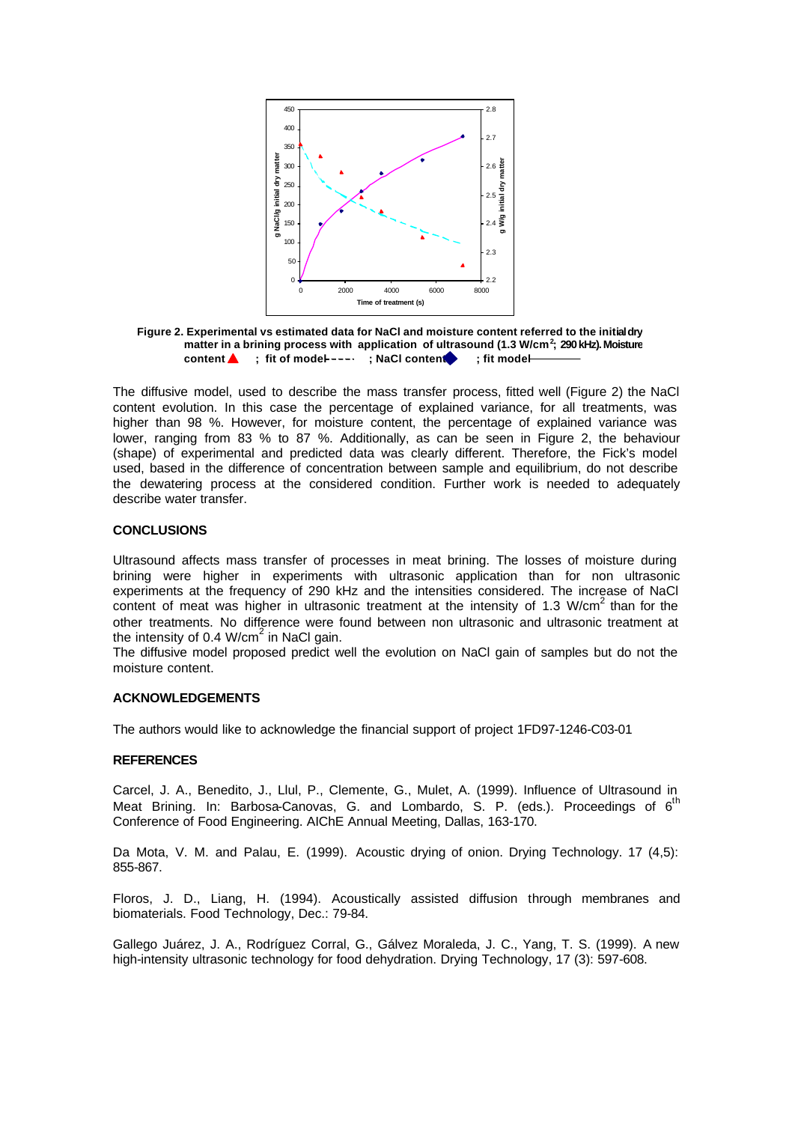

**Figure 2. Experimental vs estimated data for NaCl and moisture content referred to the initial dry matter in a brining process with application of ultrasound (1.3 W/cm<sup>2</sup> ; 290 kHz). Moisture content 6** ; fit of model ---- ; NaCl content ; fit model-

The diffusive model, used to describe the mass transfer process, fitted well (Figure 2) the NaCl content evolution. In this case the percentage of explained variance, for all treatments, was higher than 98 %. However, for moisture content, the percentage of explained variance was lower, ranging from 83 % to 87 %. Additionally, as can be seen in Figure 2, the behaviour (shape) of experimental and predicted data was clearly different. Therefore, the Fick's model used, based in the difference of concentration between sample and equilibrium, do not describe the dewatering process at the considered condition. Further work is needed to adequately describe water transfer.

## **CONCLUSIONS**

Ultrasound affects mass transfer of processes in meat brining. The losses of moisture during brining were higher in experiments with ultrasonic application than for non ultrasonic experiments at the frequency of 290 kHz and the intensities considered. The increase of NaCl content of meat was higher in ultrasonic treatment at the intensity of 1.3 W/cm<sup>2</sup> than for the other treatments. No difference were found between non ultrasonic and ultrasonic treatment at the intensity of 0.4 W/cm $^2$  in NaCl gain.

The diffusive model proposed predict well the evolution on NaCl gain of samples but do not the moisture content.

## **ACKNOWLEDGEMENTS**

The authors would like to acknowledge the financial support of project 1FD97-1246-C03-01

#### **REFERENCES**

Carcel, J. A., Benedito, J., Llul, P., Clemente, G., Mulet, A. (1999). Influence of Ultrasound in Meat Brining. In: Barbosa-Canovas, G. and Lombardo, S. P. (eds.). Proceedings of 6<sup>th</sup> Conference of Food Engineering. AIChE Annual Meeting, Dallas, 163-170.

Da Mota, V. M. and Palau, E. (1999). Acoustic drying of onion. Drying Technology. 17 (4,5): 855-867.

Floros, J. D., Liang, H. (1994). Acoustically assisted diffusion through membranes and biomaterials. Food Technology, Dec.: 79-84.

Gallego Juárez, J. A., Rodríguez Corral, G., Gálvez Moraleda, J. C., Yang, T. S. (1999). A new high-intensity ultrasonic technology for food dehydration. Drying Technology, 17 (3): 597-608.